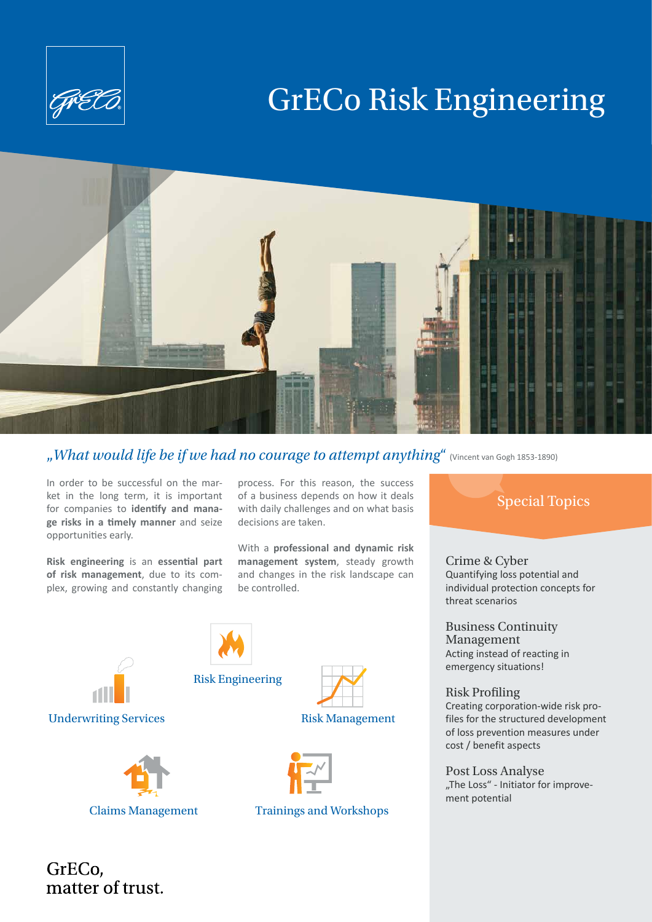

# GrECo Risk Engineering



"*What would life be if we had no courage to attempt anything*" (Vincent van Gogh 1853-1890)

In order to be successful on the market in the long term, it is important for companies to **identify and manage risks in a timely manner** and seize opportunities early.

**Risk engineering** is an **essential part of risk management**, due to its complex, growing and constantly changing

process. For this reason, the success of a business depends on how it deals with daily challenges and on what basis decisions are taken.

With a **professional and dynamic risk management system**, steady growth and changes in the risk landscape can be controlled.





Claims Management Trainings and Workshops

Special Topics

Crime & Cyber Quantifying loss potential and individual protection concepts for threat scenarios

Business Continuity Management Acting instead of reacting in emergency situations!

Risk Profiling Creating corporation-wide risk profiles for the structured development of loss prevention measures under cost / benefit aspects

Post Loss Analyse "The Loss" - Initiator for improvement potential

GrECo, matter of trust.